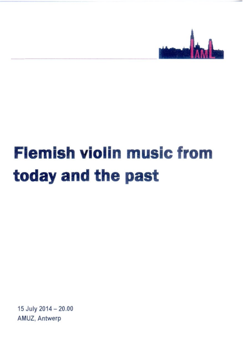

## **Flemish violin music from today and the past**

15 July 2014-20.00 AMUZ, Antwerp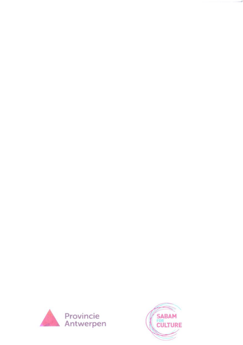

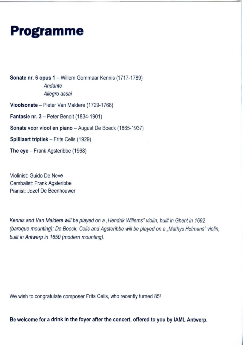## **Programme**

Sonate nr. 6 opus 1 — Willem Gommaar Kennis (1717-1789) *Andante Allegro assai* Vioolsonate — Pieter Van Maldere (1729-1768)

Fantasie nr. 3 — Peter Benoit (1834-1901)

Sonate voor viool en piano — August De Boeck (1865-1937)

Spilliaert triptiek — Frits Celis (1929)

The eye — Frank Agsteribbe (1968)

Violinist: Guido De Neve Cembalist; Frank Agsteribbe Pianist: Jozef De Beenhouwer

*Kennis and Van Maldere will be played on a ,.Hendrrk Willems" violin, built in Ghent in 1692 (baroque mounting); De Boeck, Celis and Agsteribbe will be played on a .,Mathys Hofmans" violin, built in Antwerp in 1650 (modern mounting).*

We wish to congratulate composer Frits Celis, who recently turned 85!

Be welcome for a drink in the foyer after the concert, offered to you by IAML Antwerp.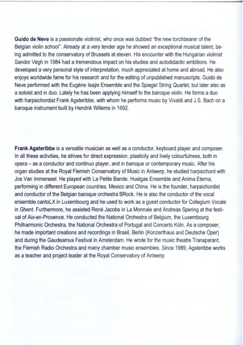Guido de Neve is a passionate violinist, who once was dubbed "the new torchbearer of the Belgian violin school'. Already at a very tender age he showed an exceptional musical talent, being admitted to the conservatory of Brussels at eleven. His encounter with the Hungarian violinist Sandor Végh in 1984 had a tremendous impact on his studies and autodidactic ambitions. He developed a very personal style of interpretation, much appreciated at home and abroad. He also enjoys worldwide fame for his research and for the editing of unpublished manuscripts. Guido de Neve performed with the Eugène Isaÿe Ensemble and the Spiegel String Quartet, but later also as a soloist and in duo. Lately he has been applying himself to the baroque violin. He forms a duo with harpsichordist Frank Agsteribbe. with whom he performs music by Vivaldi and J.S. Bach on a baroque instrument built by Hendrik Willems in 1692.

Frank Agsteribbe is a versatile musician as well as a conductor, keyboard player and composer. In all these activities. he strives for direct expression, plasticity and lively colourfulness, both in opera — as a conductor and continuo player, and in baroque or contemporary music. After his organ studies at the Royal Flemish Conservatory of Music in Antwerp. he studied harpsichord with Jos Van Immerseel. He played with La Petite Bande, Huelgas Ensemble and Anima Eterna, performing in different European countries, Mexico and China. He is the founder, harpsichordist and conductor of the Belgian baroque orchestra BRock. He is also the conductor of the vocal ensemble cantoLX in Luxembourg and he used to work as a guest conductor for Collegium Vocale in Ghent. Furthermore, he assisted René Jacobs in La Monnaie and Andreas Spering at the festival of Aix-en-Provence. He conducted the National Orchestra of Belgium, the Luxembourg Philharmonic Orchestra, the National Orchestra of Portugal and Concerto Köln. As a composer, he made important creations and recordings in Brasil, Berlin (Konzerthaus and Deutsche Oper) and during the Gaudeamus Festival in Amsterdam. He wrote for the music theatre Transparant, the Flemish Radio Orchestra and many chamber music ensembles. Since 1989, Agsteribbe works as a teacher and project leader at the Royal Conservatory of Antwerp.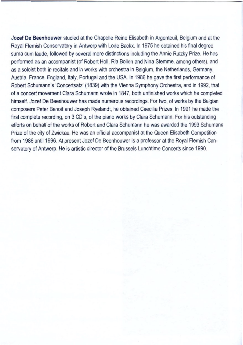Jozef De Beenhouwer studied at the Chapelle Reine Elisabeth in Argenteuil, Belgium and at the Royal Flemish Conservatory in Antwerp with Lode Backx. In 1975 he obtained his final degree suma cum laude, followed by several more distinctions including the Annie Rutzky Prize. He has performed as an accompanist (of Robert Holl, Ria Bollen and Nina Stemme, among others), and as a soloist both in recitals and in works with orchestra in Belgium, the Netherlands. Germany, Austria. France, England, Italy. Portugal and the USA. In 1986 he gave the first performance of Robert Schumann's 'Concertsatz' (1839) with the Vienna Symphony Orchestra, and in 1992, that of a concert movement Clara Schumann wrote in 1847, both unfinished works which he completed himself. Jozef De Beenhouwer has made numerous recordings. For two. of works by the Belgian composers Peter Benoit and Joseph Ryelandt, he obtained Caecilia Prizes. In 1991 he made the first complete recording, on 3 CD's, of the piano works by Clara Schumann. For his outstanding efforts on behalf of the works of Robert and Clara Schumann he was awarded the 1993 Schumann Prize of the city of Zwickau. He was an official accompanist at the Queen Elisabeth Competition from 1986 until 1996. At present Jozef De Beenhouwer is a professor at the Royal Flemish Conservatory of Antwerp. He is artistic director of the Brussels Lunchtime Concerts since 1990.